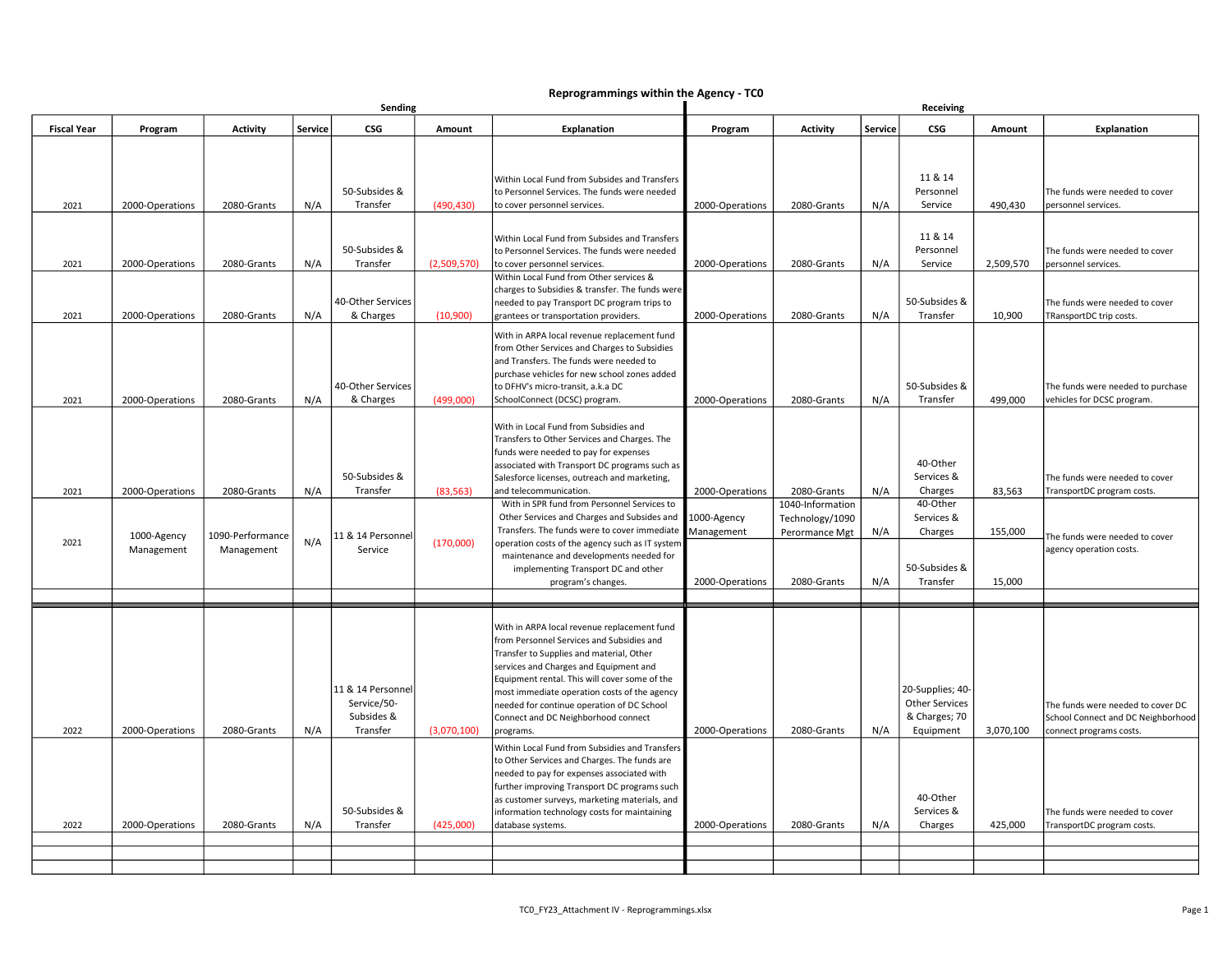## Reprogrammings within the Agency - TC0

|                    | Sending                   |                                |         |                                                            | Receiving   |                                                                                                                                                                                                                                                                                                                                                                                                                                                                                     |                                              |                                                                      |            |                                                                         |                   |                                                                                                    |
|--------------------|---------------------------|--------------------------------|---------|------------------------------------------------------------|-------------|-------------------------------------------------------------------------------------------------------------------------------------------------------------------------------------------------------------------------------------------------------------------------------------------------------------------------------------------------------------------------------------------------------------------------------------------------------------------------------------|----------------------------------------------|----------------------------------------------------------------------|------------|-------------------------------------------------------------------------|-------------------|----------------------------------------------------------------------------------------------------|
| <b>Fiscal Year</b> | Program                   | <b>Activity</b>                | Service | <b>CSG</b>                                                 | Amount      | <b>Explanation</b>                                                                                                                                                                                                                                                                                                                                                                                                                                                                  | Program                                      | <b>Activity</b>                                                      | Service    | CSG                                                                     | Amount            | Explanation                                                                                        |
|                    |                           |                                |         | 50-Subsides &                                              |             | Within Local Fund from Subsides and Transfers<br>to Personnel Services. The funds were needed                                                                                                                                                                                                                                                                                                                                                                                       |                                              |                                                                      |            | 11 & 14<br>Personnel                                                    |                   | The funds were needed to cover                                                                     |
| 2021               | 2000-Operations           | 2080-Grants                    | N/A     | Transfer                                                   | (490, 430)  | to cover personnel services.                                                                                                                                                                                                                                                                                                                                                                                                                                                        | 2000-Operations                              | 2080-Grants                                                          | N/A        | Service                                                                 | 490,430           | personnel services.                                                                                |
| 2021               | 2000-Operations           | 2080-Grants                    | N/A     | 50-Subsides &<br>Transfer<br>40-Other Services             | (2,509,570) | Within Local Fund from Subsides and Transfers<br>to Personnel Services. The funds were needed<br>to cover personnel services.<br>Within Local Fund from Other services &<br>charges to Subsidies & transfer. The funds were<br>needed to pay Transport DC program trips to                                                                                                                                                                                                          | 2000-Operations                              | 2080-Grants                                                          | N/A        | 11 & 14<br>Personnel<br>Service<br>50-Subsides &                        | 2,509,570         | The funds were needed to cover<br>personnel services.<br>The funds were needed to cover            |
| 2021               | 2000-Operations           | 2080-Grants                    | N/A     | & Charges                                                  | (10,900)    | grantees or transportation providers.                                                                                                                                                                                                                                                                                                                                                                                                                                               | 2000-Operations                              | 2080-Grants                                                          | N/A        | Transfer                                                                | 10,900            | TRansportDC trip costs.                                                                            |
| 2021               | 2000-Operations           | 2080-Grants                    | N/A     | 40-Other Services<br>& Charges                             | (499,000)   | With in ARPA local revenue replacement fund<br>from Other Services and Charges to Subsidies<br>and Transfers. The funds were needed to<br>purchase vehicles for new school zones added<br>to DFHV's micro-transit, a.k.a DC<br>SchoolConnect (DCSC) program.                                                                                                                                                                                                                        | 2000-Operations                              | 2080-Grants                                                          | N/A        | 50-Subsides &<br>Transfer                                               | 499,000           | The funds were needed to purchase<br>vehicles for DCSC program.                                    |
| 2021               | 2000-Operations           | 2080-Grants                    | N/A     | 50-Subsides &<br>Transfer                                  | (83, 563)   | With in Local Fund from Subsidies and<br>Transfers to Other Services and Charges. The<br>funds were needed to pay for expenses<br>associated with Transport DC programs such as<br>Salesforce licenses, outreach and marketing,<br>and telecommunication.                                                                                                                                                                                                                           | 2000-Operations                              | 2080-Grants                                                          | N/A        | 40-Other<br>Services &<br>Charges                                       | 83,563            | The funds were needed to cover<br>TransportDC program costs.                                       |
| 2021               | 1000-Agency<br>Management | 1090-Performance<br>Management | N/A     | 11 & 14 Personnel<br>Service                               | (170,000)   | With in SPR fund from Personnel Services to<br>Other Services and Charges and Subsides and<br>Transfers. The funds were to cover immediate<br>operation costs of the agency such as IT system<br>maintenance and developments needed for<br>implementing Transport DC and other<br>program's changes.                                                                                                                                                                               | 1000-Agency<br>Management<br>2000-Operations | 1040-Information<br>Technology/1090<br>Perormance Mgt<br>2080-Grants | N/A<br>N/A | 40-Other<br>Services &<br>Charges<br>50-Subsides &<br>Transfer          | 155,000<br>15,000 | The funds were needed to cover<br>agency operation costs.                                          |
|                    |                           |                                |         |                                                            |             |                                                                                                                                                                                                                                                                                                                                                                                                                                                                                     |                                              |                                                                      |            |                                                                         |                   |                                                                                                    |
| 2022               | 2000-Operations           | 2080-Grants                    | N/A     | 11 & 14 Personnel<br>Service/50-<br>Subsides &<br>Transfer | (3,070,100) | With in ARPA local revenue replacement fund<br>from Personnel Services and Subsidies and<br>Transfer to Supplies and material, Other<br>services and Charges and Equipment and<br>Equipment rental. This will cover some of the<br>most immediate operation costs of the agency<br>needed for continue operation of DC School<br>Connect and DC Neighborhood connect<br>programs.<br>Within Local Fund from Subsidies and Transfers<br>to Other Services and Charges. The funds are | 2000-Operations                              | 2080-Grants                                                          | N/A        | 20-Supplies; 40-<br><b>Other Services</b><br>& Charges; 70<br>Equipment | 3,070,100         | The funds were needed to cover DC<br>School Connect and DC Neighborhood<br>connect programs costs. |
| 2022               | 2000-Operations           | 2080-Grants                    | N/A     | 50-Subsides &<br>Transfer                                  | (425,000)   | needed to pay for expenses associated with<br>further improving Transport DC programs such<br>as customer surveys, marketing materials, and<br>information technology costs for maintaining<br>database systems.                                                                                                                                                                                                                                                                    | 2000-Operations                              | 2080-Grants                                                          | N/A        | 40-Other<br>Services &<br>Charges                                       | 425,000           | The funds were needed to cover<br>TransportDC program costs.                                       |
|                    |                           |                                |         |                                                            |             |                                                                                                                                                                                                                                                                                                                                                                                                                                                                                     |                                              |                                                                      |            |                                                                         |                   |                                                                                                    |
|                    |                           |                                |         |                                                            |             |                                                                                                                                                                                                                                                                                                                                                                                                                                                                                     |                                              |                                                                      |            |                                                                         |                   |                                                                                                    |